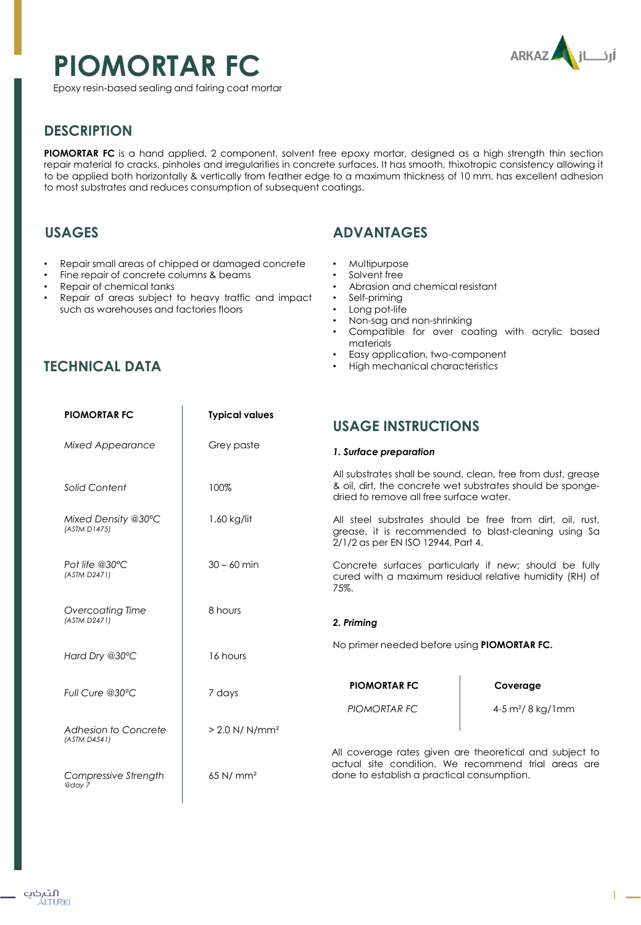# **PIOMORTAR FC**



Epoxy resin-based sealing and fairing coat mortar

# **DESCRIPTION**

**PIOMORTAR FC** is a hand applied, 2 component, solvent free epoxy mortar, designed as a high strength thin section repair material to cracks, pinholes and irregularities in concrete surfaces. It has smooth, thixotropic consistency allowing it to be applied both horizontally & vertically from feather edge to a maximum thickness of 10 mm, has excellent adhesion to most substrates and reduces consumption of subsequent coatings.

## **USAGES**

- Repair small areas of chipped or damaged concrete
- Fine repair of concrete columns & beams
- Repair of chemical tanks
- Repair of areas subject to heavy traffic and impact such as warehouses and factories floors

# **TECHNICAL DATA**

## **ADVANTAGES**

- Multipurpose
- Solvent free
- Abrasion and chemical resistant
- Self-priming
- Long pot-life
- Non-sag and non-shrinking
- Compatible for over coating with acrylic based materials
- Easy application, two-component
- High mechanical characteristics

| <b>PIOMORTAR FC</b>                  | <b>Typical values</b>        | <b>USAGE INSTRUCTIONS</b>                                                                                                                                             |                               |
|--------------------------------------|------------------------------|-----------------------------------------------------------------------------------------------------------------------------------------------------------------------|-------------------------------|
| <b>Mixed Appearance</b>              | Grey paste                   | 1. Surface preparation                                                                                                                                                |                               |
| Solid Content                        | 100%                         | All substrates shall be sound, clean, free from dust, grease<br>& oil, dirt, the concrete wet substrates should be sponge-<br>dried to remove all free surface water. |                               |
| Mixed Density @30°C<br>(ASTM D1475)  | $1.60$ kg/lit                | All steel substrates should be free from dirt, oil, rust,<br>grease, it is recommended to blast-cleaning using Sa<br>2/1/2 as per EN ISO 12944, Part 4.               |                               |
| Pot life $@30°C$<br>(ASTM D2471)     | $30 - 60$ min                | Concrete surfaces particularly if new; should be fully<br>cured with a maximum residual relative humidity (RH) of<br>75%.                                             |                               |
| Overcoating Time<br>(ASTM D2471)     | 8 hours                      | 2. Priming                                                                                                                                                            |                               |
| Hard Dry @30°C                       | 16 hours                     | No primer needed before using PIOMORTAR FC.                                                                                                                           |                               |
| Full Cure @30°C                      | 7 days                       | <b>PIOMORTAR FC</b>                                                                                                                                                   | Coverage                      |
|                                      |                              | PIOMORTAR FC                                                                                                                                                          | 4-5 m <sup>2</sup> / 8 kg/1mm |
| Adhesion to Concrete<br>(ASTM D4541) | $> 2.0$ N/ N/mm <sup>2</sup> |                                                                                                                                                                       |                               |
| Compressive Strength<br>@day 7       | $65$ N/ mm <sup>2</sup>      | All coverage rates given are theoretical and subject to<br>actual site condition. We recommend trial areas are<br>done to establish a practical consumption.          |                               |